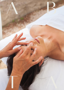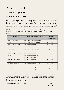## A career that'll take you places.

## International Diploma Courses

A career in beauty and makeup allows you to work anywhere in the world. ABTA is a member of many global associations which means when you train with us you can gain international recognised qualifications. We train you with both national and international syllabus, so that your new skills and standards will allow you to sit for international examinations on beauty therapies and make-up artistry right after you have completed the training with us. This is exclusive to ABTA full time students only.

We will help you get ready for your international examinations (conducted by international examiner from overseas), so that you can receive an international diploma and/or certificate. Your global passport, so you can work anywhere you want around the globe.

| <b>ABTA</b> course                 | International qualifications award         | Training &             |
|------------------------------------|--------------------------------------------|------------------------|
|                                    |                                            | <b>Preparation Fee</b> |
| Diploma of Beauty Therapy          | CIDESCO Diploma in Beauty Therapy          | \$1600                 |
| SHB50115                           | ITEC Diploma for Beauty Specialists        | Free of charge         |
| Diploma of Screen and Media        | ITEC Certificate in Makeup                 | Free of charge         |
| - Specialist Make-up Services      | <b>ITEC Certificate in Business</b>        |                        |
| <b>CUA51015</b>                    |                                            |                        |
| Certificate IV in Beauty Therapy   | <b>ITEC Diploma for Beauty Specialists</b> | Free of charge         |
| SHB40115                           |                                            |                        |
| Certificate III in Beauty Services | ITEC Certificate in makeup                 | Free of charge         |
| SHB30115                           | <b>ITEC Certificate in Manicure and</b>    |                        |
|                                    | <b>ITEC Certificate in Waxing</b>          |                        |
| Certificate II in Retail Cosmetics | <b>ITEC Certificate in Makeup</b>          | Free of charge         |
| SHB20116                           |                                            |                        |
| Manicure and Pedicure (short       | ITEC Certificate in Manicure and Pedicure  | Free of charge         |
| course)                            |                                            |                        |
| Make-up I (short course)           | <b>ITEC Certificate in Makeup</b>          | Free of charge         |
| Basic Waxing (short course)        | <b>ITEC Certificate in Waxing</b>          | Free of charge         |

\* Internationally recognised qualifications will be awarded upon successful completion of international examinations

The Training and preparation fee includes all the theoretical & practical training, pre-assessments, handouts, use of all equipment & products in the Academy. This fee does not include the International Examination Fee. Separate examinations are held for CIDESCO and ITEC diplomas. The International Examination Fees are payable prior to exam-booking, the total amount varies depending on the number of qualifications you are sitting for, please contact us for more information.

## Your beautiful future awaits.

info@abtaedu.com 02 6285 4255 abtaedu.com